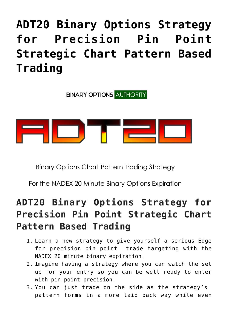# **[ADT20 Binary Options Strategy](https://binaryoptionsauthority.com/adt20-binary-options-strategy-for-precision-pin-point-strategic-chart-pattern-based-trading/) [for Precision Pin Point](https://binaryoptionsauthority.com/adt20-binary-options-strategy-for-precision-pin-point-strategic-chart-pattern-based-trading/) [Strategic Chart Pattern Based](https://binaryoptionsauthority.com/adt20-binary-options-strategy-for-precision-pin-point-strategic-chart-pattern-based-trading/) [Trading](https://binaryoptionsauthority.com/adt20-binary-options-strategy-for-precision-pin-point-strategic-chart-pattern-based-trading/)**

**BINARY OPTIONS AUTHORITY** 



**Binary Options Chart Pattern Trading Strategy** 

For the NADEX 20 Minute Binary Options Expiration

#### **ADT20 Binary Options Strategy for Precision Pin Point Strategic Chart Pattern Based Trading**

- 1. Learn a new strategy to give yourself a serious Edge for precision pin point trade targeting with the NADEX 20 minute binary expiration.
- 2. Imagine having a strategy where you can watch the set up for your entry so you can be well ready to enter with pin point precision.
- 3. You can just trade on the side as the strategy's pattern forms in a more laid back way while even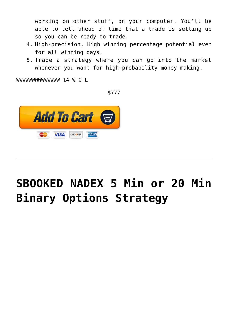working on other stuff, on your computer. You'll be able to tell ahead of time that a trade is setting up so you can be ready to trade.

- 4. High-precision, High winning percentage potential even for all winning days.
- 5. Trade a strategy where you can go into the market whenever you want for high-probability money making.

WWWWWWWWWWWWWW 14 W 0 L

\$777



## **[SBOOKED NADEX 5 Min or 20 Min](https://binaryoptionsauthority.com/sbooked-nadex-5-min-or-20-min-binary-options-strategy/) [Binary Options Strategy](https://binaryoptionsauthority.com/sbooked-nadex-5-min-or-20-min-binary-options-strategy/)**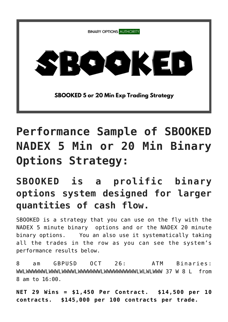

## **Performance Sample of SBOOKED NADEX 5 Min or 20 Min Binary Options Strategy:**

#### **SBOOKED is a prolific binary options system designed for larger quantities of cash flow.**

SBOOKED is a strategy that you can use on the fly with the NADEX 5 minute binary options and or the NADEX 20 minute binary options. You an also use it systematically taking all the trades in the row as you can see the system's performance results below.

8 am GBPUSD OCT 26: ATM Binaries: WWLWWWWWWLWWWLWWWWLWWWWWWWLWWWWWWWWWWLWLWLWWW 37 W 8 L from 8 am to 16:00.

**NET 29 Wins = \$1,450 Per Contract. \$14,500 per 10 contracts. \$145,000 per 100 contracts per trade.**